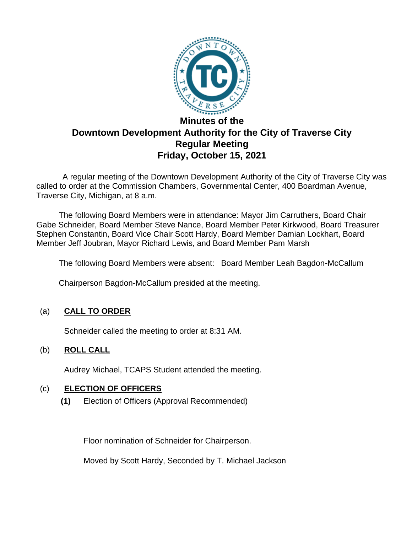

# **Downtown Development Authority for the City of Traverse City Regular Meeting Friday, October 15, 2021**

 A regular meeting of the Downtown Development Authority of the City of Traverse City was called to order at the Commission Chambers, Governmental Center, 400 Boardman Avenue, Traverse City, Michigan, at 8 a.m.

The following Board Members were in attendance: Mayor Jim Carruthers, Board Chair Gabe Schneider, Board Member Steve Nance, Board Member Peter Kirkwood, Board Treasurer Stephen Constantin, Board Vice Chair Scott Hardy, Board Member Damian Lockhart, Board Member Jeff Joubran, Mayor Richard Lewis, and Board Member Pam Marsh

The following Board Members were absent: Board Member Leah Bagdon-McCallum

Chairperson Bagdon-McCallum presided at the meeting.

# (a) **CALL TO ORDER**

Schneider called the meeting to order at 8:31 AM.

# (b) **ROLL CALL**

Audrey Michael, TCAPS Student attended the meeting.

# (c) **ELECTION OF OFFICERS**

**(1)** Election of Officers (Approval Recommended)

Floor nomination of Schneider for Chairperson.

Moved by Scott Hardy, Seconded by T. Michael Jackson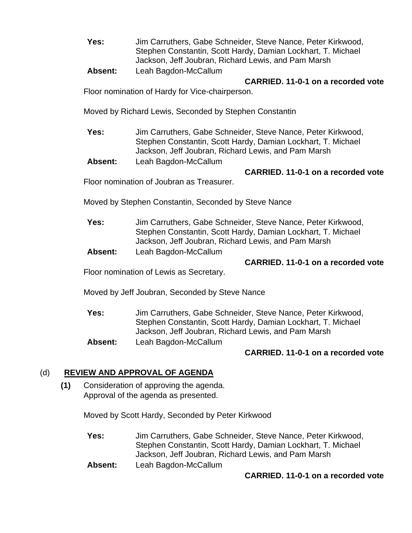**Yes:** Jim Carruthers, Gabe Schneider, Steve Nance, Peter Kirkwood, Stephen Constantin, Scott Hardy, Damian Lockhart, T. Michael Jackson, Jeff Joubran, Richard Lewis, and Pam Marsh

# **Absent:** Leah Bagdon-McCallum

### **CARRIED. 11-0-1 on a recorded vote**

Floor nomination of Hardy for Vice-chairperson.

Moved by Richard Lewis, Seconded by Stephen Constantin

**Yes:** Jim Carruthers, Gabe Schneider, Steve Nance, Peter Kirkwood, Stephen Constantin, Scott Hardy, Damian Lockhart, T. Michael Jackson, Jeff Joubran, Richard Lewis, and Pam Marsh

**Absent:** Leah Bagdon-McCallum

### **CARRIED. 11-0-1 on a recorded vote**

Floor nomination of Joubran as Treasurer.

Moved by Stephen Constantin, Seconded by Steve Nance

- **Yes:** Jim Carruthers, Gabe Schneider, Steve Nance, Peter Kirkwood, Stephen Constantin, Scott Hardy, Damian Lockhart, T. Michael Jackson, Jeff Joubran, Richard Lewis, and Pam Marsh
- **Absent:** Leah Bagdon-McCallum

# **CARRIED. 11-0-1 on a recorded vote**

Floor nomination of Lewis as Secretary.

Moved by Jeff Joubran, Seconded by Steve Nance

**Yes:** Jim Carruthers, Gabe Schneider, Steve Nance, Peter Kirkwood, Stephen Constantin, Scott Hardy, Damian Lockhart, T. Michael Jackson, Jeff Joubran, Richard Lewis, and Pam Marsh **Absent:** Leah Bagdon-McCallum

# **CARRIED. 11-0-1 on a recorded vote**

# (d) **REVIEW AND APPROVAL OF AGENDA**

**(1)** Consideration of approving the agenda. Approval of the agenda as presented.

Moved by Scott Hardy, Seconded by Peter Kirkwood

- **Yes:** Jim Carruthers, Gabe Schneider, Steve Nance, Peter Kirkwood, Stephen Constantin, Scott Hardy, Damian Lockhart, T. Michael Jackson, Jeff Joubran, Richard Lewis, and Pam Marsh
- **Absent:** Leah Bagdon-McCallum

# **CARRIED. 11-0-1 on a recorded vote**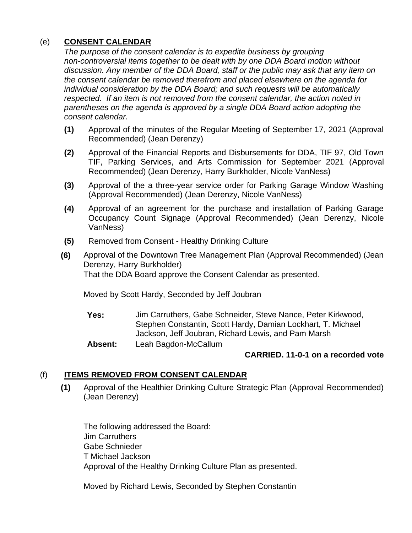# (e) **CONSENT CALENDAR**

*The purpose of the consent calendar is to expedite business by grouping non-controversial items together to be dealt with by one DDA Board motion without discussion. Any member of the DDA Board, staff or the public may ask that any item on the consent calendar be removed therefrom and placed elsewhere on the agenda for individual consideration by the DDA Board; and such requests will be automatically respected. If an item is not removed from the consent calendar, the action noted in parentheses on the agenda is approved by a single DDA Board action adopting the consent calendar.*

- **(1)** Approval of the minutes of the Regular Meeting of September 17, 2021 (Approval Recommended) (Jean Derenzy)
- **(2)** Approval of the Financial Reports and Disbursements for DDA, TIF 97, Old Town TIF, Parking Services, and Arts Commission for September 2021 (Approval Recommended) (Jean Derenzy, Harry Burkholder, Nicole VanNess)
- **(3)** Approval of the a three-year service order for Parking Garage Window Washing (Approval Recommended) (Jean Derenzy, Nicole VanNess)
- **(4)** Approval of an agreement for the purchase and installation of Parking Garage Occupancy Count Signage (Approval Recommended) (Jean Derenzy, Nicole VanNess)
- **(5)** Removed from Consent Healthy Drinking Culture
- **(6)** Approval of the Downtown Tree Management Plan (Approval Recommended) (Jean Derenzy, Harry Burkholder) That the DDA Board approve the Consent Calendar as presented.

Moved by Scott Hardy, Seconded by Jeff Joubran

- **Yes:** Jim Carruthers, Gabe Schneider, Steve Nance, Peter Kirkwood, Stephen Constantin, Scott Hardy, Damian Lockhart, T. Michael Jackson, Jeff Joubran, Richard Lewis, and Pam Marsh
- **Absent:** Leah Bagdon-McCallum

# **CARRIED. 11-0-1 on a recorded vote**

# (f) **ITEMS REMOVED FROM CONSENT CALENDAR**

**(1)** Approval of the Healthier Drinking Culture Strategic Plan (Approval Recommended) (Jean Derenzy)

The following addressed the Board: Jim Carruthers Gabe Schnieder T Michael Jackson Approval of the Healthy Drinking Culture Plan as presented.

Moved by Richard Lewis, Seconded by Stephen Constantin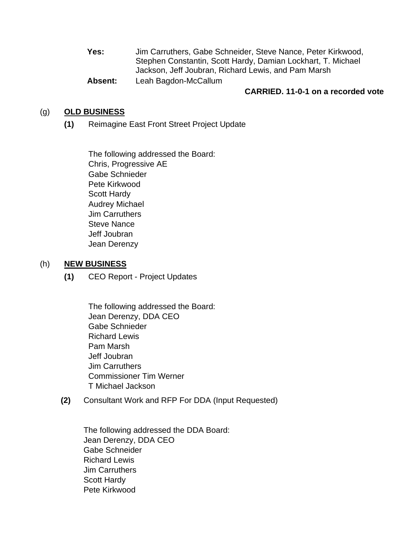**Yes:** Jim Carruthers, Gabe Schneider, Steve Nance, Peter Kirkwood, Stephen Constantin, Scott Hardy, Damian Lockhart, T. Michael Jackson, Jeff Joubran, Richard Lewis, and Pam Marsh **Absent:** Leah Bagdon-McCallum

#### **CARRIED. 11-0-1 on a recorded vote**

#### (g) **OLD BUSINESS**

**(1)** Reimagine East Front Street Project Update

The following addressed the Board: Chris, Progressive AE Gabe Schnieder Pete Kirkwood Scott Hardy Audrey Michael Jim Carruthers Steve Nance Jeff Joubran Jean Derenzy

#### (h) **NEW BUSINESS**

**(1)** CEO Report - Project Updates

The following addressed the Board: Jean Derenzy, DDA CEO Gabe Schnieder Richard Lewis Pam Marsh Jeff Joubran Jim Carruthers Commissioner Tim Werner T Michael Jackson

**(2)** Consultant Work and RFP For DDA (Input Requested)

The following addressed the DDA Board: Jean Derenzy, DDA CEO Gabe Schneider Richard Lewis Jim Carruthers Scott Hardy Pete Kirkwood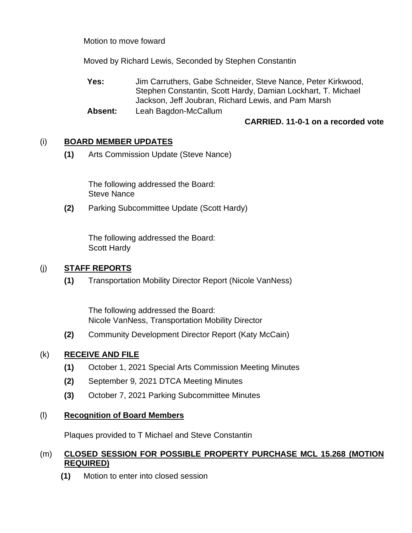Motion to move foward

Moved by Richard Lewis, Seconded by Stephen Constantin

**Yes:** Jim Carruthers, Gabe Schneider, Steve Nance, Peter Kirkwood, Stephen Constantin, Scott Hardy, Damian Lockhart, T. Michael Jackson, Jeff Joubran, Richard Lewis, and Pam Marsh

**Absent:** Leah Bagdon-McCallum

# **CARRIED. 11-0-1 on a recorded vote**

# (i) **BOARD MEMBER UPDATES**

**(1)** Arts Commission Update (Steve Nance)

The following addressed the Board: Steve Nance

**(2)** Parking Subcommittee Update (Scott Hardy)

The following addressed the Board: Scott Hardy

# (j) **STAFF REPORTS**

**(1)** Transportation Mobility Director Report (Nicole VanNess)

The following addressed the Board: Nicole VanNess, Transportation Mobility Director

**(2)** Community Development Director Report (Katy McCain)

# (k) **RECEIVE AND FILE**

- **(1)** October 1, 2021 Special Arts Commission Meeting Minutes
- **(2)** September 9, 2021 DTCA Meeting Minutes
- **(3)** October 7, 2021 Parking Subcommittee Minutes

# (l) **Recognition of Board Members**

Plaques provided to T Michael and Steve Constantin

### (m) **CLOSED SESSION FOR POSSIBLE PROPERTY PURCHASE MCL 15.268 (MOTION REQUIRED)**

**(1)** Motion to enter into closed session